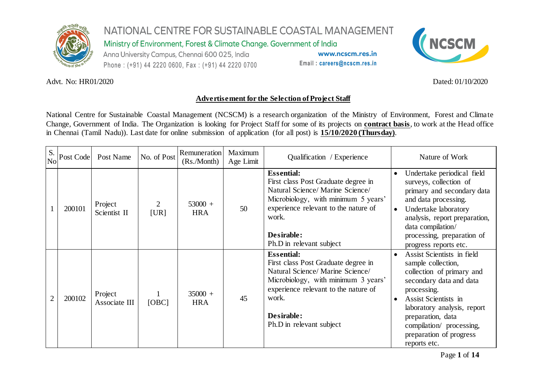

Ministry of Environment, Forest & Climate Change. Government of India

Anna University Campus, Chennai 600 025, India Phone: (+91) 44 2220 0600, Fax: (+91) 44 2220 0700

www.ncscm.res.in Email: careers@ncscm.res.in



#### Advt. No: HR01/2020 Dated: 01/10/2020

#### **Advertisement for the Selection of Project Staff**

National Centre for Sustainable Coastal Management (NCSCM) is a research organization of the Ministry of Environment, Forest and Climate Change, Government of India. The Organization is looking for Project Staff for some of its projects on **contract basis**, to work at the Head office in Chennai (Tamil Nadu)). Last date for online submission of application (for all post) is **15/10/2020 (Thursday)**.

| S.<br>N <sub>o</sub> | Post Code | Post Name                | No. of Post | Remuneration<br>(Rs/Month) | Maximum<br>Age Limit | Qualification / Experience                                                                                                                                                                                                     | Nature of Work                                                                                                                                                                                                                                                                          |
|----------------------|-----------|--------------------------|-------------|----------------------------|----------------------|--------------------------------------------------------------------------------------------------------------------------------------------------------------------------------------------------------------------------------|-----------------------------------------------------------------------------------------------------------------------------------------------------------------------------------------------------------------------------------------------------------------------------------------|
|                      | 200101    | Project<br>Scientist II  | 2<br>[UR]   | $53000 +$<br><b>HRA</b>    | 50                   | <b>Essential:</b><br>First class Post Graduate degree in<br>Natural Science/Marine Science/<br>Microbiology, with minimum 5 years'<br>experience relevant to the nature of<br>work.<br>Desirable:<br>Ph.D in relevant subject  | Undertake periodical field<br>surveys, collection of<br>primary and secondary data<br>and data processing.<br>Undertake laboratory<br>$\bullet$<br>analysis, report preparation,<br>data compilation/<br>processing, preparation of<br>progress reports etc.                            |
| 2                    | 200102    | Project<br>Associate III | [OBC]       | $35000 +$<br><b>HRA</b>    | 45                   | <b>Essential:</b><br>First class Post Graduate degree in<br>Natural Science/ Marine Science/<br>Microbiology, with minimum 3 years'<br>experience relevant to the nature of<br>work.<br>Desirable:<br>Ph.D in relevant subject | Assist Scientists in field<br>sample collection,<br>collection of primary and<br>secondary data and data<br>processing.<br>Assist Scientists in<br>$\bullet$<br>laboratory analysis, report<br>preparation, data<br>compilation/ processing,<br>preparation of progress<br>reports etc. |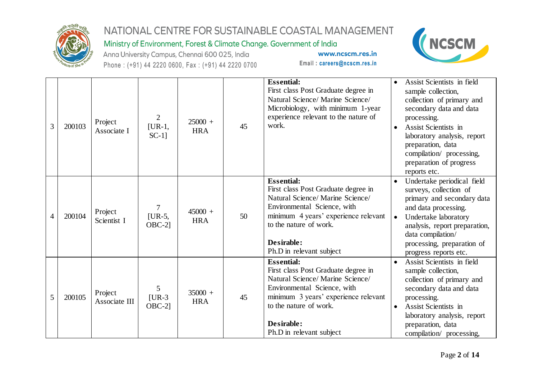

Ministry of Environment, Forest & Climate Change. Government of India

Anna University Campus, Chennai 600 025, India Phone: (+91) 44 2220 0600, Fax: (+91) 44 2220 0700



| 3 | 200103 | Project<br>Associate I   | $\overline{2}$<br>$[UR-1,$<br>$SC-1$ ] | $25000 +$<br><b>HRA</b> | 45 | <b>Essential:</b><br>First class Post Graduate degree in<br>Natural Science/ Marine Science/<br>Microbiology, with minimum 1-year<br>experience relevant to the nature of<br>work.                                                      | Assist Scientists in field<br>sample collection,<br>collection of primary and<br>secondary data and data<br>processing.<br>Assist Scientists in<br>laboratory analysis, report<br>preparation, data<br>compilation/ processing,<br>preparation of progress<br>reports etc. |
|---|--------|--------------------------|----------------------------------------|-------------------------|----|-----------------------------------------------------------------------------------------------------------------------------------------------------------------------------------------------------------------------------------------|----------------------------------------------------------------------------------------------------------------------------------------------------------------------------------------------------------------------------------------------------------------------------|
| 4 | 200104 | Project<br>Scientist I   | $\overline{7}$<br>$[UR-5,$<br>$OBC-2$  | $45000 +$<br><b>HRA</b> | 50 | <b>Essential:</b><br>First class Post Graduate degree in<br>Natural Science/ Marine Science/<br>Environmental Science, with<br>minimum 4 years' experience relevant<br>to the nature of work.<br>Desirable:<br>Ph.D in relevant subject | Undertake periodical field<br>$\bullet$<br>surveys, collection of<br>primary and secondary data<br>and data processing.<br>Undertake laboratory<br>$\bullet$<br>analysis, report preparation,<br>data compilation/<br>processing, preparation of<br>progress reports etc.  |
| 5 | 200105 | Project<br>Associate III | 5<br>$[UR-3]$<br>$OBC-2$ ]             | $35000 +$<br><b>HRA</b> | 45 | <b>Essential:</b><br>First class Post Graduate degree in<br>Natural Science/Marine Science/<br>Environmental Science, with<br>minimum 3 years' experience relevant<br>to the nature of work.<br>Desirable:<br>Ph.D in relevant subject  | Assist Scientists in field<br>sample collection,<br>collection of primary and<br>secondary data and data<br>processing.<br>Assist Scientists in<br>$\bullet$<br>laboratory analysis, report<br>preparation, data<br>compilation/ processing,                               |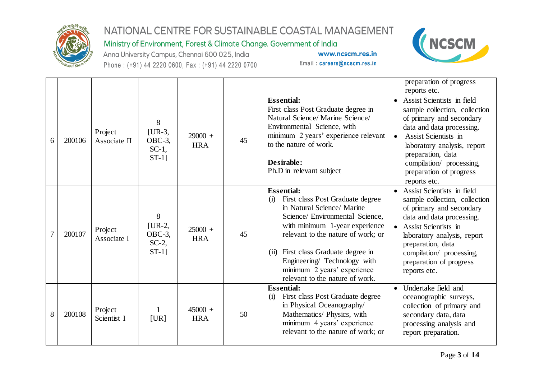

Ministry of Environment, Forest & Climate Change. Government of India

Anna University Campus, Chennai 600 025, India Phone: (+91) 44 2220 0600, Fax: (+91) 44 2220 0700



|   |        |                         |                                                 |                         |    |                                                                                                                                                                                                                                                                                                                                                   | preparation of progress<br>reports etc.                                                                                                                                                                                                                                                |
|---|--------|-------------------------|-------------------------------------------------|-------------------------|----|---------------------------------------------------------------------------------------------------------------------------------------------------------------------------------------------------------------------------------------------------------------------------------------------------------------------------------------------------|----------------------------------------------------------------------------------------------------------------------------------------------------------------------------------------------------------------------------------------------------------------------------------------|
| 6 | 200106 | Project<br>Associate II | 8<br>$[UR-3,$<br>OBC-3,<br>$SC-1$ ,<br>$ST-1$ ] | $29000 +$<br><b>HRA</b> | 45 | <b>Essential:</b><br>First class Post Graduate degree in<br>Natural Science/Marine Science/<br>Environmental Science, with<br>minimum 2 years' experience relevant<br>to the nature of work.<br>Desirable:<br>Ph.D in relevant subject                                                                                                            | • Assist Scientists in field<br>sample collection, collection<br>of primary and secondary<br>data and data processing.<br>Assist Scientists in<br>$\bullet$<br>laboratory analysis, report<br>preparation, data<br>compilation/ processing,<br>preparation of progress<br>reports etc. |
| 7 | 200107 | Project<br>Associate I  | 8<br>$[UR-2,$<br>OBC-3,<br>$SC-2$ ,<br>$ST-1]$  | $25000 +$<br><b>HRA</b> | 45 | <b>Essential:</b><br>First class Post Graduate degree<br>(i)<br>in Natural Science/ Marine<br>Science/ Environmental Science,<br>with minimum 1-year experience<br>relevant to the nature of work; or<br>First class Graduate degree in<br>(ii)<br>Engineering/ Technology with<br>minimum 2 years' experience<br>relevant to the nature of work. | • Assist Scientists in field<br>sample collection, collection<br>of primary and secondary<br>data and data processing.<br>• Assist Scientists in<br>laboratory analysis, report<br>preparation, data<br>compilation/ processing,<br>preparation of progress<br>reports etc.            |
| 8 | 200108 | Project<br>Scientist I  | [UR]                                            | $45000 +$<br><b>HRA</b> | 50 | <b>Essential:</b><br>First class Post Graduate degree<br>(i)<br>in Physical Oceanography/<br>Mathematics/ Physics, with<br>minimum 4 years' experience<br>relevant to the nature of work; or                                                                                                                                                      | Undertake field and<br>oceanographic surveys,<br>collection of primary and<br>secondary data, data<br>processing analysis and<br>report preparation.                                                                                                                                   |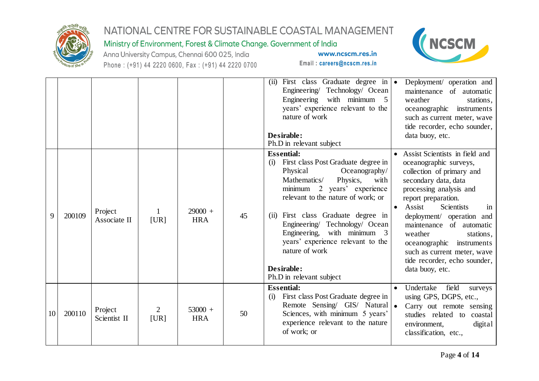

#### Ministry of Environment, Forest & Climate Change. Government of India





|    |        |                         |                        |                         |    | First class Graduate degree in $\bullet$<br>(ii)<br>Engineering/ Technology/ Ocean<br>Engineering with minimum 5<br>years' experience relevant to the<br>nature of work<br>Desirable:<br>Ph.D in relevant subject                                                                                                                                                                                                 | Deployment/ operation and<br>maintenance of automatic<br>weather<br>stations,<br>instruments<br>oceanographic<br>such as current meter, wave<br>tide recorder, echo sounder,<br>data buoy, etc.                                                                                                                                                                                                                    |
|----|--------|-------------------------|------------------------|-------------------------|----|-------------------------------------------------------------------------------------------------------------------------------------------------------------------------------------------------------------------------------------------------------------------------------------------------------------------------------------------------------------------------------------------------------------------|--------------------------------------------------------------------------------------------------------------------------------------------------------------------------------------------------------------------------------------------------------------------------------------------------------------------------------------------------------------------------------------------------------------------|
| 9  | 200109 | Project<br>Associate II | [UR]                   | $29000 +$<br><b>HRA</b> | 45 | <b>Essential:</b><br>First class Post Graduate degree in<br>(i)<br>Physical<br>Oceanography/<br>Mathematics/<br>Physics,<br>with<br>minimum 2 years' experience<br>relevant to the nature of work; or<br>First class Graduate degree in<br>(ii)<br>Engineering/ Technology/ Ocean<br>Engineering, with minimum 3<br>years' experience relevant to the<br>nature of work<br>Desirable:<br>Ph.D in relevant subject | • Assist Scientists in field and<br>oceanographic surveys,<br>collection of primary and<br>secondary data, data<br>processing analysis and<br>report preparation.<br>Assist<br>Scientists<br>$\bullet$<br>in<br>deployment/ operation and<br>of automatic<br>maintenance<br>weather<br>stations,<br>oceanographic<br>instruments<br>such as current meter, wave<br>tide recorder, echo sounder,<br>data buoy, etc. |
| 10 | 200110 | Project<br>Scientist II | $\overline{2}$<br>[UR] | $53000 +$<br><b>HRA</b> | 50 | <b>Essential:</b><br>First class Post Graduate degree in<br>(i)<br>Remote Sensing/ $GIS/$ Natural $\bullet$<br>Sciences, with minimum 5 years'<br>experience relevant to the nature<br>of work; or                                                                                                                                                                                                                | Undertake<br>field<br>surveys<br>using GPS, DGPS, etc.,<br>Carry out remote sensing<br>studies related to coastal<br>digital<br>environment,<br>classification, etc.,                                                                                                                                                                                                                                              |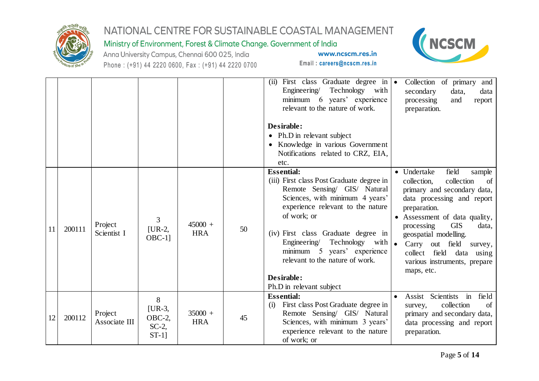

Ministry of Environment, Forest & Climate Change. Government of India

Anna University Campus, Chennai 600 025, India Phone: (+91) 44 2220 0600, Fax: (+91) 44 2220 0700



|    |        |                          |                                                   |                         |    | (ii) First class Graduate degree in $\bullet$<br>Technology with<br>Engineering/<br>minimum 6 years' experience<br>relevant to the nature of work.<br>Desirable:<br>• Ph.D in relevant subject<br>• Knowledge in various Government<br>Notifications related to CRZ, EIA,<br>etc.                                                                                              | Collection of primary<br>and<br>secondary<br>data,<br>data<br>processing<br>and<br>report<br>preparation.                                                                                                                                                                                                                                                   |
|----|--------|--------------------------|---------------------------------------------------|-------------------------|----|--------------------------------------------------------------------------------------------------------------------------------------------------------------------------------------------------------------------------------------------------------------------------------------------------------------------------------------------------------------------------------|-------------------------------------------------------------------------------------------------------------------------------------------------------------------------------------------------------------------------------------------------------------------------------------------------------------------------------------------------------------|
| 11 | 200111 | Project<br>Scientist I   | 3<br>$[UR-2,$<br>$OBC-1$ ]                        | $45000 +$<br><b>HRA</b> | 50 | <b>Essential:</b><br>(iii) First class Post Graduate degree in<br>Remote Sensing/ GIS/ Natural<br>Sciences, with minimum 4 years'<br>experience relevant to the nature<br>of work; or<br>(iv) First class Graduate degree in<br>Technology<br>Engineering/<br>with<br>minimum 5 years' experience<br>relevant to the nature of work.<br>Desirable:<br>Ph.D in relevant subject | • Undertake<br>field<br>sample<br>collection<br>collection,<br>of<br>primary and secondary data,<br>data processing and report<br>preparation.<br>• Assessment of data quality,<br><b>GIS</b><br>processing<br>data,<br>geospatial modelling.<br>Carry<br>out field<br>survey,<br>collect field<br>data using<br>various instruments, prepare<br>maps, etc. |
| 12 | 200112 | Project<br>Associate III | 8<br>$[UR-3,$<br>$OBC-2$ ,<br>$SC-2$ ,<br>$ST-1]$ | $35000 +$<br><b>HRA</b> | 45 | <b>Essential:</b><br>First class Post Graduate degree in<br>(i)<br>Remote Sensing/ GIS/ Natural<br>Sciences, with minimum 3 years'<br>experience relevant to the nature<br>of work; or                                                                                                                                                                                         | field<br>$\dot{m}$<br>Assist Scientists<br>collection<br>survey,<br>of<br>primary and secondary data,<br>data processing and report<br>preparation.                                                                                                                                                                                                         |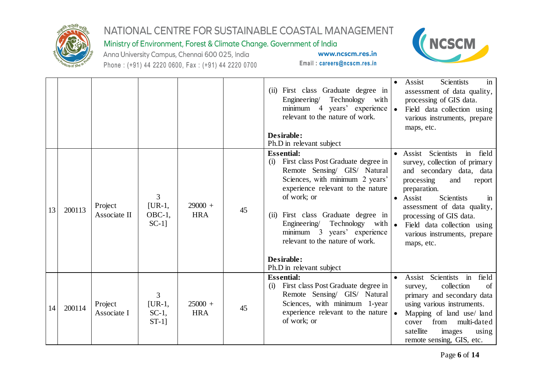

Ministry of Environment, Forest & Climate Change. Government of India

Anna University Campus, Chennai 600 025, India Phone: (+91) 44 2220 0600, Fax: (+91) 44 2220 0700



|    |        |                         |                                        |                         |    | (ii) First class Graduate degree in<br>Technology with<br>Engineering<br>minimum 4 years' experience<br>relevant to the nature of work.<br>Desirable:<br>Ph.D in relevant subject                                                                                                                               | <b>Scientists</b><br>Assist<br>in<br>assessment of data quality,<br>processing of GIS data.<br>• Field data collection using<br>various instruments, prepare<br>maps, etc.                                                                                                                                                                                           |
|----|--------|-------------------------|----------------------------------------|-------------------------|----|-----------------------------------------------------------------------------------------------------------------------------------------------------------------------------------------------------------------------------------------------------------------------------------------------------------------|----------------------------------------------------------------------------------------------------------------------------------------------------------------------------------------------------------------------------------------------------------------------------------------------------------------------------------------------------------------------|
| 13 | 200113 | Project<br>Associate II | 3<br>$[UR-1,$<br>$OBC-1$ ,<br>$SC-1$ ] | $29000 +$<br><b>HRA</b> | 45 | <b>Essential:</b><br>First class Post Graduate degree in<br>(i)<br>Remote Sensing/ GIS/ Natural<br>Sciences, with minimum 2 years'<br>experience relevant to the nature<br>of work; or<br>(ii) First class Graduate degree in<br>Engineering/<br>minimum 3 years' experience<br>relevant to the nature of work. | field<br>Scientists<br>Assist<br>$\mathbf{in}$<br>survey, collection of primary<br>and secondary data, data<br>processing<br>and<br>report<br>preparation.<br>Assist<br><b>Scientists</b><br>$\mathbf{m}$<br>assessment of data quality,<br>processing of GIS data.<br>Technology with   • Field data collection using<br>various instruments, prepare<br>maps, etc. |
|    |        |                         |                                        |                         |    | Desirable:<br>Ph.D in relevant subject                                                                                                                                                                                                                                                                          |                                                                                                                                                                                                                                                                                                                                                                      |
| 14 | 200114 | Project<br>Associate I  | 3<br>$[UR-1,$<br>$SC-1$ ,<br>$ST-1]$   | $25000 +$<br><b>HRA</b> | 45 | <b>Essential:</b><br>First class Post Graduate degree in<br>(i)<br>Remote Sensing/ GIS/ Natural<br>Sciences, with minimum 1-year<br>experience relevant to the nature<br>of work; or                                                                                                                            | Assist Scientists in<br>field<br>collection<br>survey,<br>of<br>primary and secondary data<br>using various instruments.<br>Mapping of land use/ land<br>from<br>multi-dated<br>cover<br>satellite<br>images<br>using<br>remote sensing, GIS, etc.                                                                                                                   |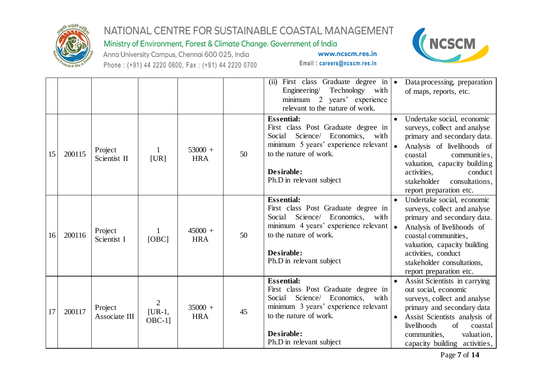

#### Ministry of Environment, Forest & Climate Change. Government of India



Anna University Campus, Chennai 600 025, India Phone: (+91) 44 2220 0600, Fax: (+91) 44 2220 0700

Email: careers@ncscm.res.in

www.ncscm.res.in

|    |        |                          |                                         |                         |    | (i)<br>First class Graduate degree in •<br>Technology with<br>Engineering<br>minimum 2 years' experience<br>relevant to the nature of work.                                                                       | Data processing, preparation<br>of maps, reports, etc.                                                                                                                                                                                                                   |
|----|--------|--------------------------|-----------------------------------------|-------------------------|----|-------------------------------------------------------------------------------------------------------------------------------------------------------------------------------------------------------------------|--------------------------------------------------------------------------------------------------------------------------------------------------------------------------------------------------------------------------------------------------------------------------|
| 15 | 200115 | Project<br>Scientist II  | [UR]                                    | $53000 +$<br><b>HRA</b> | 50 | <b>Essential:</b><br>First class Post Graduate degree in<br>Science/ Economics, with<br>Social<br>minimum 5 years' experience relevant   .<br>to the nature of work.<br>Desirable:<br>Ph.D in relevant subject    | Undertake social, economic<br>surveys, collect and analyse<br>primary and secondary data.<br>Analysis of livelihoods of<br>coastal<br>communities,<br>valuation, capacity building<br>activities,<br>conduct<br>stakeholder<br>consultations,<br>report preparation etc. |
| 16 | 200116 | Project<br>Scientist I   | [OBC]                                   | $45000 +$<br><b>HRA</b> | 50 | <b>Essential:</b><br>First class Post Graduate degree in<br>Science/ Economics,<br>Social<br>with<br>minimum 4 years' experience relevant   .<br>to the nature of work.<br>Desirable:<br>Ph.D in relevant subject | Undertake social, economic<br>surveys, collect and analyse<br>primary and secondary data.<br>Analysis of livelihoods of<br>coastal communities,<br>valuation, capacity building<br>activities, conduct<br>stakeholder consultations,<br>report preparation etc.          |
| 17 | 200117 | Project<br>Associate III | $\overline{2}$<br>$[UR-1,$<br>$OBC-1$ ] | $35000 +$<br><b>HRA</b> | 45 | <b>Essential:</b><br>First class Post Graduate degree in<br>Science/<br>Economics,<br>Social<br>with<br>minimum 3 years' experience relevant<br>to the nature of work.<br>Desirable:<br>Ph.D in relevant subject  | Assist Scientists in carrying<br>out social, economic<br>surveys, collect and analyse<br>primary and secondary data<br>Assist Scientists analysis of<br>$\bullet$<br>livelihoods<br>of<br>coastal<br>communities,<br>valuation,<br>capacity building activities,         |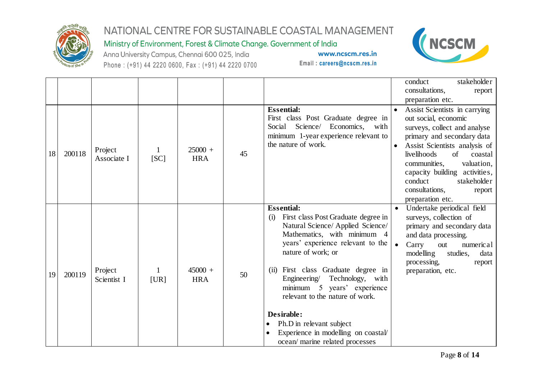

Ministry of Environment, Forest & Climate Change. Government of India

Anna University Campus, Chennai 600 025, India Phone: (+91) 44 2220 0600, Fax: (+91) 44 2220 0700



|    |        |                        |      |                         |    |                                                                                                                                                                                                                                                                                                                                                                                                                                                                   | conduct<br>stakeholder<br>consultations,<br>report<br>preparation etc.                                                                                                                                                                                                                                                                     |
|----|--------|------------------------|------|-------------------------|----|-------------------------------------------------------------------------------------------------------------------------------------------------------------------------------------------------------------------------------------------------------------------------------------------------------------------------------------------------------------------------------------------------------------------------------------------------------------------|--------------------------------------------------------------------------------------------------------------------------------------------------------------------------------------------------------------------------------------------------------------------------------------------------------------------------------------------|
| 18 | 200118 | Project<br>Associate I | [SC] | $25000 +$<br><b>HRA</b> | 45 | <b>Essential:</b><br>First class Post Graduate degree in<br>Science/ Economics, with<br>Social<br>minimum 1-year experience relevant to<br>the nature of work.                                                                                                                                                                                                                                                                                                    | Assist Scientists in carrying<br>out social, economic<br>surveys, collect and analyse<br>primary and secondary data<br>Assist Scientists analysis of<br>$\bullet$<br>livelihoods<br>of<br>coastal<br>communities,<br>valuation,<br>capacity building activities,<br>conduct<br>stakeholder<br>consultations,<br>report<br>preparation etc. |
| 19 | 200119 | Project<br>Scientist I | [UR] | $45000 +$<br><b>HRA</b> | 50 | <b>Essential:</b><br>First class Post Graduate degree in<br>(i)<br>Natural Science/ Applied Science/<br>Mathematics, with minimum 4<br>years' experience relevant to the<br>nature of work; or<br>First class Graduate degree in<br>(i)<br>Technology, with<br>Engineering/<br>minimum 5 years' experience<br>relevant to the nature of work.<br>Desirable:<br>Ph.D in relevant subject<br>Experience in modelling on coastal/<br>ocean/ marine related processes | Undertake periodical field<br>surveys, collection of<br>primary and secondary data<br>and data processing.<br>Carry<br>numerical<br>$\bullet$<br>out<br>modelling<br>studies,<br>data<br>processing,<br>report<br>preparation, etc.                                                                                                        |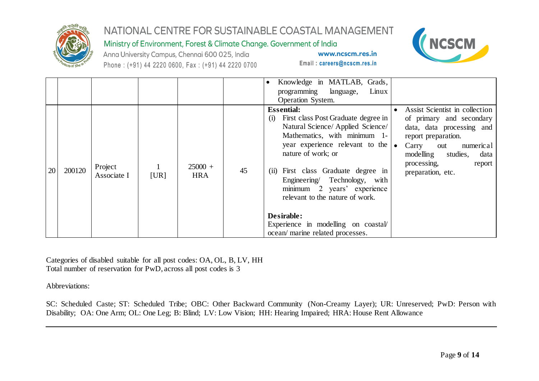

Ministry of Environment, Forest & Climate Change. Government of India



Anna University Campus, Chennai 600 025, India Phone: (+91) 44 2220 0600, Fax: (+91) 44 2220 0700

Email: careers@ncscm.res.in

www.ncscm.res.in

|           |        |                        |      |                         |    | Knowledge in MATLAB, Grads,<br>programming language,<br>Linux<br>Operation System.                                                                                                                                                                                                                                                                                                                                                           |                                                                                                                                                                                                                             |
|-----------|--------|------------------------|------|-------------------------|----|----------------------------------------------------------------------------------------------------------------------------------------------------------------------------------------------------------------------------------------------------------------------------------------------------------------------------------------------------------------------------------------------------------------------------------------------|-----------------------------------------------------------------------------------------------------------------------------------------------------------------------------------------------------------------------------|
| <b>20</b> | 200120 | Project<br>Associate I | [UR] | $25000 +$<br><b>HRA</b> | 45 | <b>Essential:</b><br>First class Post Graduate degree in<br>(i)<br>Natural Science/ Applied Science/<br>Mathematics, with minimum 1-<br>year experience relevant to the $\bullet$<br>nature of work; or<br>First class Graduate degree in<br>(i)<br>Engineering/ Technology, with<br>minimum 2 years' experience<br>relevant to the nature of work.<br>Desirable:<br>Experience in modelling on coastal/<br>ocean/ marine related processes. | Assist Scientist in collection<br>of primary and secondary<br>data, data processing and<br>report preparation.<br>Carry<br>numeric al<br>out<br>modelling<br>studies,<br>data<br>processing,<br>report<br>preparation, etc. |

Categories of disabled suitable for all post codes: OA, OL, B, LV, HH Total number of reservation for PwD, across all post codes is 3

Abbreviations:

SC: Scheduled Caste; ST: Scheduled Tribe; OBC: Other Backward Community (Non-Creamy Layer); UR: Unreserved; PwD: Person with Disability; OA: One Arm; OL: One Leg; B: Blind; LV: Low Vision; HH: Hearing Impaired; HRA: House Rent Allowance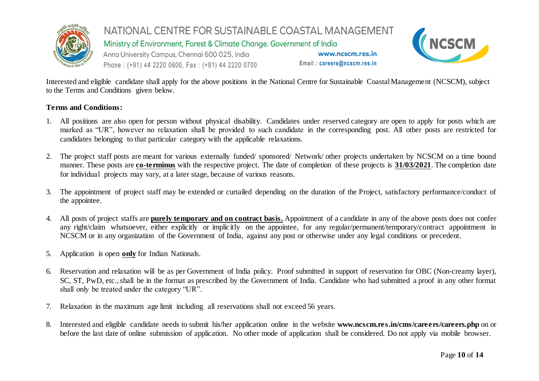

Ministry of Environment, Forest & Climate Change. Government of India

Anna University Campus, Chennai 600 025, India Phone: (+91) 44 2220 0600, Fax: (+91) 44 2220 0700

www.ncscm.res.in Email: careers@ncscm.res.in



Interested and eligible candidate shall apply for the above positions in the National Centre for Sustainable Coastal Management (NCSCM), subject to the Terms and Conditions given below.

#### **Terms and Conditions:**

- 1. All positions are also open for person without physical disability. Candidates under reserved category are open to apply for posts which are marked as "UR", however no relaxation shall be provided to such candidate in the corresponding post. All other posts are restricted for candidates belonging to that particular category with the applicable relaxations.
- 2. The project staff posts are meant for various externally funded/ sponsored/ Network/ other projects undertaken by NCSCM on a time bound manner. These posts are **co-terminus** with the respective project. The date of completion of these projects is **31/03/2021**. The completion date for individual projects may vary, at a later stage, because of various reasons.
- 3. The appointment of project staff may be extended or curtailed depending on the duration of the Project, satisfactory performance/conduct of the appointee.
- 4. All posts of project staffs are **purely temporary and on contract basis.** Appointment of a candidate in any of the above posts does not confer any right/claim whatsoever, either explicitly or implicitly on the appointee, for any regular/permanent/temporary/contract appointment in NCSCM or in any organization of the Government of India, against any post or otherwise under any legal conditions or precedent.
- 5. Application is open **only** for Indian Nationals.
- 6. Reservation and relaxation will be as per Government of India policy. Proof submitted in support of reservation for OBC (Non-creamy layer), SC, ST, PwD, etc., shall be in the format as prescribed by the Government of India. Candidate who had submitted a proof in any other format shall only be treated under the category "UR".
- 7. Relaxation in the maximum age limit including all reservations shall not exceed 56 years.
- 8. Interested and eligible candidate needs to submit his/her application online in the website **www.ncscm.res.in/cms/careers/careers.php** on or before the last date of online submission of application. No other mode of application shall be considered. Do not apply via mobile browser.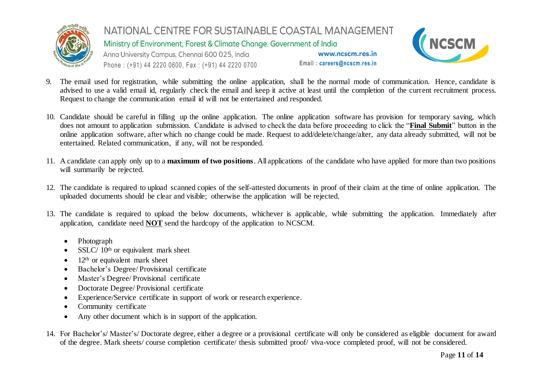

Ministry of Environment, Forest & Climate Change. Government of India

Anna University Campus, Chennai 600 025, India Phone: (+91) 44 2220 0600, Fax: (+91) 44 2220 0700



- 9. The email used for registration, while submitting the online application, shall be the normal mode of communication. Hence, candidate is advised to use a valid email id, regularly check the email and keep it active at least until the completion of the current recruitment process. Request to change the communication email id will not be entertained and responded.
- 10. Candidate should be careful in filling up the online application. The online application software has provision for temporary saving, which does not amount to application submission. Candidate is advised to check the data before proceeding to click the "**Final Submit**" button in the online application software, after which no change could be made. Request to add/delete/change/alter, any data already submitted, will not be entertained. Related communication, if any, will not be responded.
- 11. A candidate can apply only up to a **maximum of two positions**. All applications of the candidate who have applied for more than two positions will summarily be rejected.
- 12. The candidate is required to upload scanned copies of the self-attested documents in proof of their claim at the time of online application. The uploaded documents should be clear and visible; otherwise the application will be rejected.
- 13. The candidate is required to upload the below documents, whichever is applicable, while submitting the application. Immediately after application, candidate need **NOT** send the hardcopy of the application to NCSCM.
	- Photograph
	- SSLC/ 10<sup>th</sup> or equivalent mark sheet
	- $\bullet$  12<sup>th</sup> or equivalent mark sheet
	- Bachelor's Degree/ Provisional certificate
	- Master's Degree/ Provisional certificate
	- Doctorate Degree/ Provisional certificate
	- Experience/Service certificate in support of work or research experience.
	- Community certificate
	- Any other document which is in support of the application.
- 14. For Bachelor's/ Master's/ Doctorate degree, either a degree or a provisional certificate will only be considered as eligible document for award of the degree. Mark sheets/ course completion certificate/ thesis submitted proof/ viva-voce completed proof, will not be considered.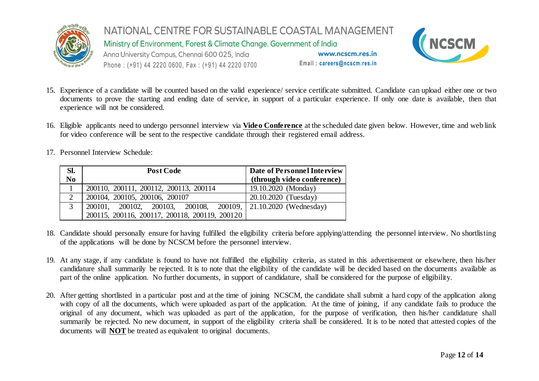

Ministry of Environment, Forest & Climate Change. Government of India

Anna University Campus, Chennai 600 025, India Phone: (+91) 44 2220 0600, Fax: (+91) 44 2220 0700



- 15. Experience of a candidate will be counted based on the valid experience/ service certificate submitted. Candidate can upload either one or two documents to prove the starting and ending date of service, in support of a particular experience. If only one date is available, then that experience will not be considered.
- 16. Eligible applicants need to undergo personnel interview via **Video Conference** at the scheduled date given below. However, time and web link for video conference will be sent to the respective candidate through their registered email address.
- 17. Personnel Interview Schedule:

| SI.<br>$\bf{N0}$ | <b>Post Code</b>                                                             | Date of Personnel Interview |
|------------------|------------------------------------------------------------------------------|-----------------------------|
|                  |                                                                              | (through video conference)  |
|                  | 200110, 200111, 200112, 200113, 200114                                       | 19.10.2020 (Monday)         |
| 2                | 200104, 200105, 200106, 200107                                               | 20.10.2020 (Tuesday)        |
| 3                | $\vert 200101, 200102, 200103, 200108, 200109, \vert 21.10.2020$ (Wednesday) |                             |
|                  | 200115, 200116, 200117, 200118, 200119, 200120                               |                             |

- 18. Candidate should personally ensure for having fulfilled the eligibility criteria before applying/attending the personnel interview. No shortlisting of the applications will be done by NCSCM before the personnel interview.
- 19. At any stage, if any candidate is found to have not fulfilled the eligibility criteria, as stated in this advertisement or elsewhere, then his/her candidature shall summarily be rejected. It is to note that the eligibility of the candidate will be decided based on the documents available as part of the online application. No further documents, in support of candidature, shall be considered for the purpose of eligibility.
- 20. After getting shortlisted in a particular post and at the time of joining NCSCM, the candidate shall submit a hard copy of the application along with copy of all the documents, which were uploaded as part of the application. At the time of joining, if any candidate fails to produce the original of any document, which was uploaded as part of the application, for the purpose of verification, then his/her candidature shall summarily be rejected. No new document, in support of the eligibility criteria shall be considered. It is to be noted that attested copies of the documents will **NOT** be treated as equivalent to original documents.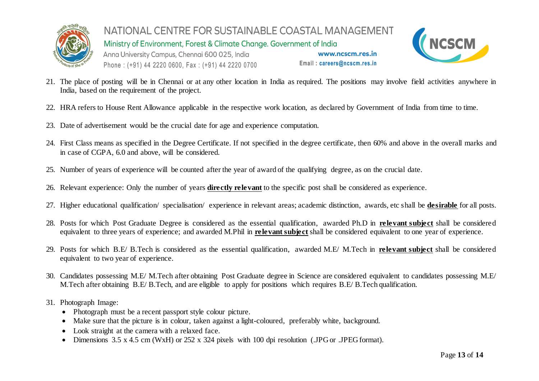

NATIONAL CENTRE FOR SUSTAINABLE COASTAL MANAGEMENT Ministry of Environment, Forest & Climate Change. Government of India Anna University Campus, Chennai 600 025, India www.ncscm.res.in Email: careers@ncscm.res.in Phone: (+91) 44 2220 0600, Fax: (+91) 44 2220 0700



- 21. The place of posting will be in Chennai or at any other location in India as required. The positions may involve field activities anywhere in India, based on the requirement of the project.
- 22. HRA refers to House Rent Allowance applicable in the respective work location, as declared by Government of India from time to time.
- 23. Date of advertisement would be the crucial date for age and experience computation.
- 24. First Class means as specified in the Degree Certificate. If not specified in the degree certificate, then 60% and above in the overall marks and in case of CGPA, 6.0 and above, will be considered.
- 25. Number of years of experience will be counted after the year of award of the qualifying degree, as on the crucial date.
- 26. Relevant experience: Only the number of years **directly relevant** to the specific post shall be considered as experience.
- 27. Higher educational qualification/ specialisation/ experience in relevant areas; academic distinction, awards, etc shall be **desirable** for all posts.
- 28. Posts for which Post Graduate Degree is considered as the essential qualification, awarded Ph.D in **relevant subject** shall be considered equivalent to three years of experience; and awarded M.Phil in **relevant subject** shall be considered equivalent to one year of experience.
- 29. Posts for which B.E/ B.Tech is considered as the essential qualification, awarded M.E/ M.Tech in **relevant subject** shall be considered equivalent to two year of experience.
- 30. Candidates possessing M.E/ M.Tech after obtaining Post Graduate degree in Science are considered equivalent to candidates possessing M.E/ M.Tech after obtaining B.E/ B.Tech, and are eligible to apply for positions which requires B.E/ B.Tech qualification.
- 31. Photograph Image:
	- Photograph must be a recent passport style colour picture.
	- Make sure that the picture is in colour, taken against a light-coloured, preferably white, background.
	- Look straight at the camera with a relaxed face.
	- Dimensions 3.5 x 4.5 cm (WxH) or 252 x 324 pixels with 100 dpi resolution (.JPG or .JPEG format).